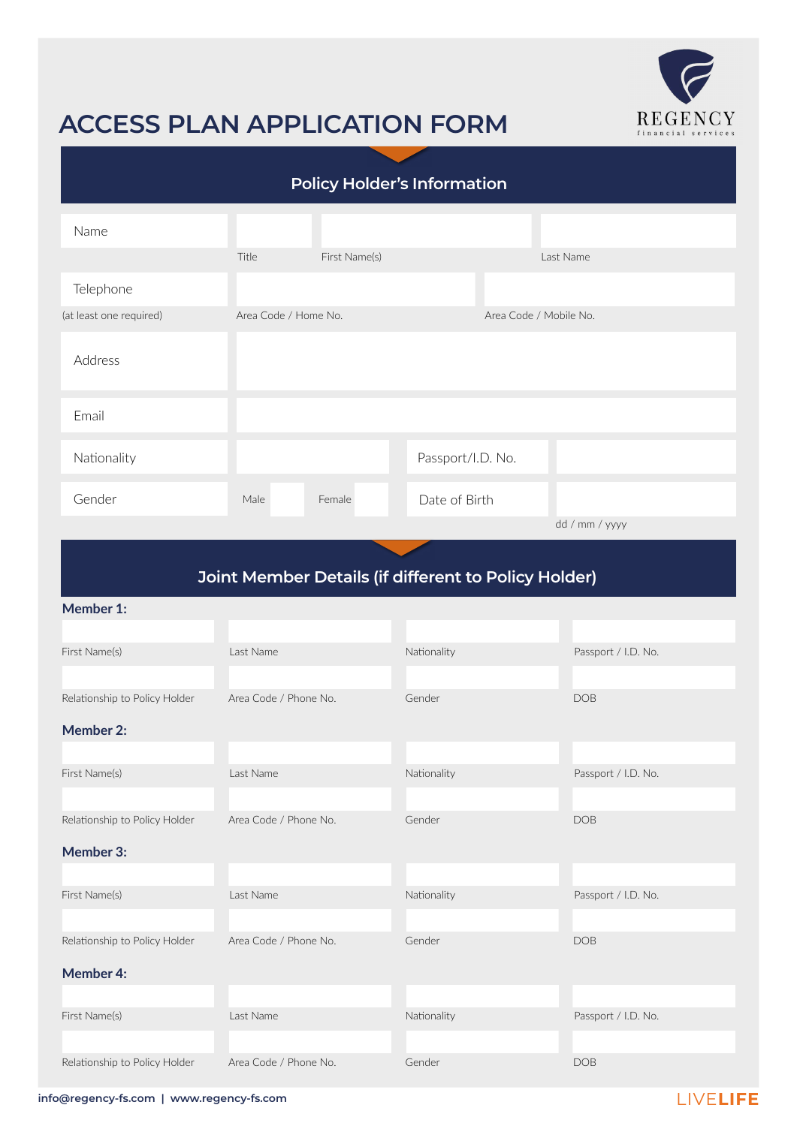

# **ACCESS PLAN APPLICATION FORM**

| <b>Policy Holder's Information</b> |                      |               |                   |                        |                |  |
|------------------------------------|----------------------|---------------|-------------------|------------------------|----------------|--|
| Name                               |                      |               |                   |                        |                |  |
|                                    | Title                | First Name(s) |                   |                        | Last Name      |  |
| Telephone                          |                      |               |                   |                        |                |  |
| (at least one required)            | Area Code / Home No. |               |                   | Area Code / Mobile No. |                |  |
| Address                            |                      |               |                   |                        |                |  |
| Email                              |                      |               |                   |                        |                |  |
| Nationality                        |                      |               | Passport/I.D. No. |                        |                |  |
| Gender                             | Male                 | Female        | Date of Birth     |                        |                |  |
|                                    |                      |               |                   |                        | dd / mm / yyyy |  |

## **Joint Member Details (if different to Policy Holder)**

#### **Member 1:**

| First Name(s)                 | Last Name             | Nationality | Passport / I.D. No. |  |
|-------------------------------|-----------------------|-------------|---------------------|--|
|                               |                       |             |                     |  |
| Relationship to Policy Holder | Area Code / Phone No. | Gender      | <b>DOB</b>          |  |
| <b>Member 2:</b>              |                       |             |                     |  |
|                               |                       |             |                     |  |
| First Name(s)                 | Last Name             | Nationality | Passport / I.D. No. |  |
|                               |                       |             |                     |  |
| Relationship to Policy Holder | Area Code / Phone No. | Gender      | <b>DOB</b>          |  |
| Member 3:                     |                       |             |                     |  |
|                               |                       |             |                     |  |
| First Name(s)                 | Last Name             | Nationality | Passport / I.D. No. |  |
|                               |                       |             |                     |  |
| Relationship to Policy Holder | Area Code / Phone No. | Gender      | <b>DOB</b>          |  |
| <b>Member 4:</b>              |                       |             |                     |  |
|                               |                       |             |                     |  |
| First Name(s)                 | Last Name             | Nationality | Passport / I.D. No. |  |
|                               |                       |             |                     |  |
| Relationship to Policy Holder | Area Code / Phone No. | Gender      | <b>DOB</b>          |  |